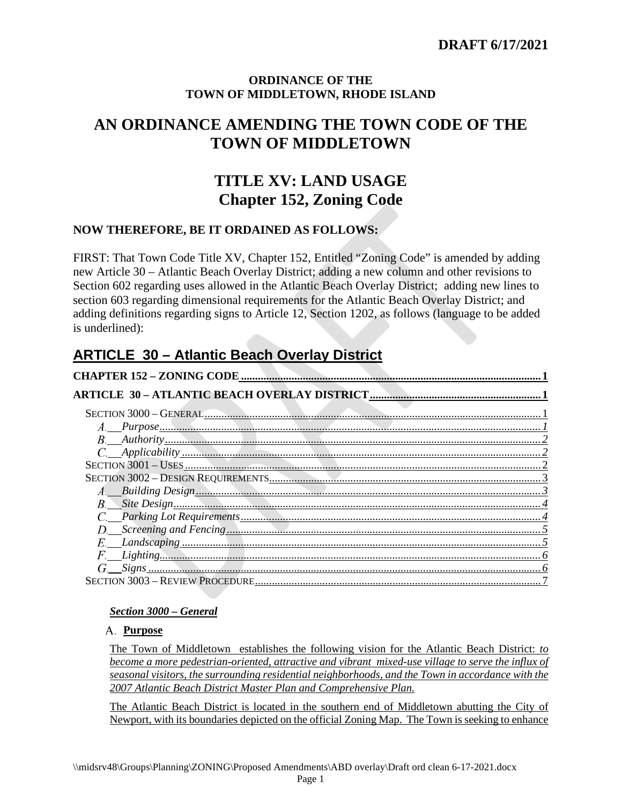## **ORDINANCE OF THE TOWN OF MIDDLETOWN, RHODE ISLAND**

# <span id="page-0-0"></span>**AN ORDINANCE AMENDING THE TOWN CODE OF THE TOWN OF MIDDLETOWN**

# **TITLE XV: LAND USAGE Chapter 152, Zoning Code**

# **NOW THEREFORE, BE IT ORDAINED AS FOLLOWS:**

FIRST: That Town Code Title XV, Chapter 152, Entitled "Zoning Code" is amended by adding new Article 30 – Atlantic Beach Overlay District; adding a new column and other revisions to Section 602 regarding uses allowed in the Atlantic Beach Overlay District; adding new lines to section 603 regarding dimensional requirements for the Atlantic Beach Overlay District; and adding definitions regarding signs to Article 12, Section 1202, as follows (language to be added is underlined):

# <span id="page-0-1"></span>**ARTICLE 30 – Atlantic Beach Overlay District**

| SECTION 3000 - GENERAL EXECTION 3000 - GENERAL EXECTION 3000 - GENERAL EXECTION 3000 - GENERAL EXECTION 3000 |
|--------------------------------------------------------------------------------------------------------------|
|                                                                                                              |
|                                                                                                              |
|                                                                                                              |
|                                                                                                              |
|                                                                                                              |
|                                                                                                              |
|                                                                                                              |
|                                                                                                              |
|                                                                                                              |
|                                                                                                              |
|                                                                                                              |
|                                                                                                              |
|                                                                                                              |

## <span id="page-0-2"></span>*Section 3000 – General*

## <span id="page-0-3"></span>**Purpose**

The Town of Middletown establishes the following vision for the Atlantic Beach District: *to become a more pedestrian-oriented, attractive and vibrant mixed-use village to serve the influx of seasonal visitors, the surrounding residential neighborhoods, and the Town in accordance with the 2007 Atlantic Beach District Master Plan and Comprehensive Plan.*

The Atlantic Beach District is located in the southern end of Middletown abutting the City of Newport, with its boundaries depicted on the official Zoning Map. The Town is seeking to enhance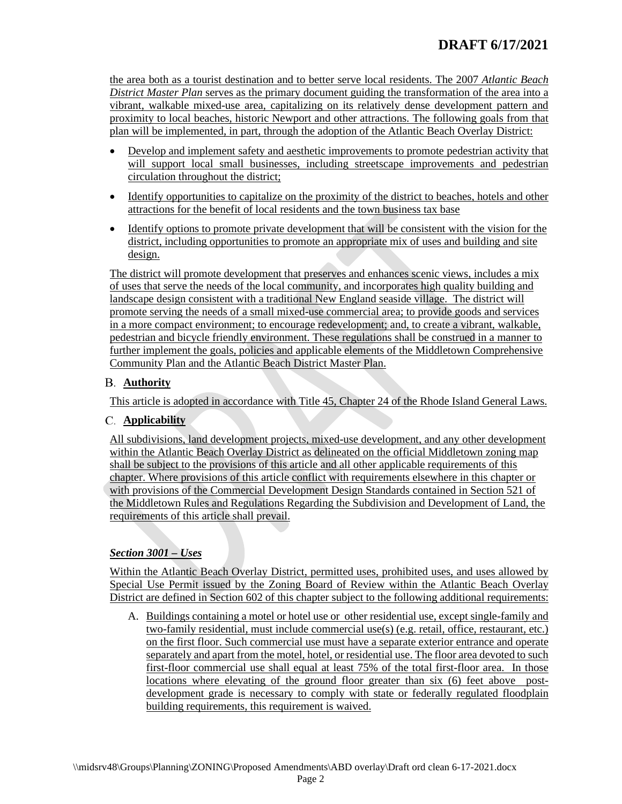the area both as a tourist destination and to better serve local residents. The 2007 *Atlantic Beach District Master Plan* serves as the primary document guiding the transformation of the area into a vibrant, walkable mixed-use area, capitalizing on its relatively dense development pattern and proximity to local beaches, historic Newport and other attractions. The following goals from that plan will be implemented, in part, through the adoption of the Atlantic Beach Overlay District:

- Develop and implement safety and aesthetic improvements to promote pedestrian activity that will support local small businesses, including streetscape improvements and pedestrian circulation throughout the district;
- Identify opportunities to capitalize on the proximity of the district to beaches, hotels and other attractions for the benefit of local residents and the town business tax base
- Identify options to promote private development that will be consistent with the vision for the district, including opportunities to promote an appropriate mix of uses and building and site design.

The district will promote development that preserves and enhances scenic views, includes a mix of uses that serve the needs of the local community, and incorporates high quality building and landscape design consistent with a traditional New England seaside village. The district will promote serving the needs of a small mixed-use commercial area; to provide goods and services in a more compact environment; to encourage redevelopment; and, to create a vibrant, walkable, pedestrian and bicycle friendly environment. These regulations shall be construed in a manner to further implement the goals, policies and applicable elements of the Middletown Comprehensive Community Plan and the Atlantic Beach District Master Plan.

## <span id="page-1-0"></span>**Authority**

This article is adopted in accordance with Title 45, Chapter 24 of the Rhode Island General Laws.

## <span id="page-1-1"></span>**Applicability**

All subdivisions, land development projects, mixed-use development, and any other development within the Atlantic Beach Overlay District as delineated on the official Middletown zoning map shall be subject to the provisions of this article and all other applicable requirements of this chapter. Where provisions of this article conflict with requirements elsewhere in this chapter or with provisions of the Commercial Development Design Standards contained in Section 521 of the Middletown Rules and Regulations Regarding the Subdivision and Development of Land, the requirements of this article shall prevail.

## <span id="page-1-2"></span>*Section 3001 – Uses*

Within the Atlantic Beach Overlay District, permitted uses, prohibited uses, and uses allowed by Special Use Permit issued by the Zoning Board of Review within the Atlantic Beach Overlay District are defined in Section 602 of this chapter subject to the following additional requirements:

A. Buildings containing a motel or hotel use or other residential use, except single-family and two-family residential, must include commercial use(s) (e.g. retail, office, restaurant, etc.) on the first floor. Such commercial use must have a separate exterior entrance and operate separately and apart from the motel, hotel, or residential use. The floor area devoted to such first-floor commercial use shall equal at least 75% of the total first-floor area. In those locations where elevating of the ground floor greater than six (6) feet above postdevelopment grade is necessary to comply with state or federally regulated floodplain building requirements, this requirement is waived.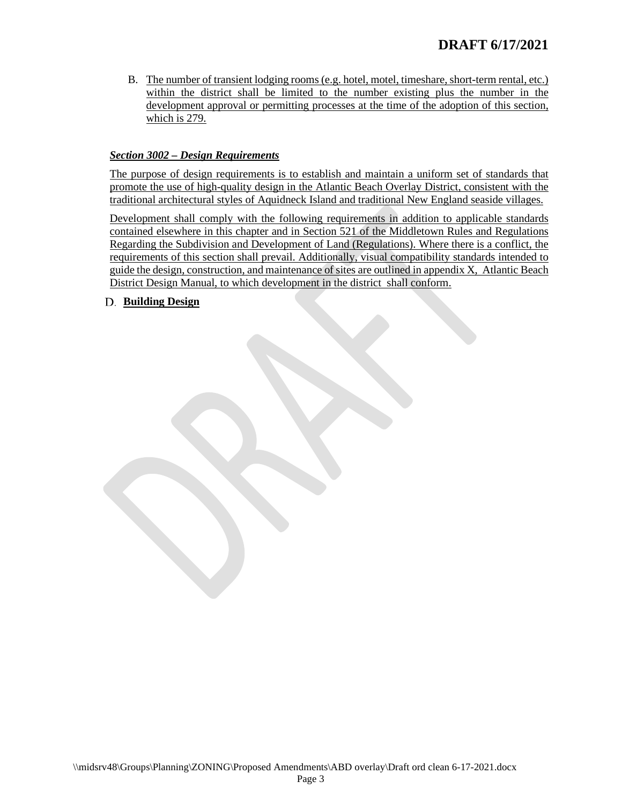B. The number of transient lodging rooms (e.g. hotel, motel, timeshare, short-term rental, etc.) within the district shall be limited to the number existing plus the number in the development approval or permitting processes at the time of the adoption of this section, which is 279.

### <span id="page-2-0"></span>*Section 3002 – Design Requirements*

The purpose of design requirements is to establish and maintain a uniform set of standards that promote the use of high-quality design in the Atlantic Beach Overlay District, consistent with the traditional architectural styles of Aquidneck Island and traditional New England seaside villages.

Development shall comply with the following requirements in addition to applicable standards contained elsewhere in this chapter and in Section 521 of the Middletown Rules and Regulations Regarding the Subdivision and Development of Land (Regulations). Where there is a conflict, the requirements of this section shall prevail. Additionally, visual compatibility standards intended to guide the design, construction, and maintenance of sites are outlined in appendix X, Atlantic Beach District Design Manual, to which development in the district shall conform.

#### <span id="page-2-1"></span>**Building Design**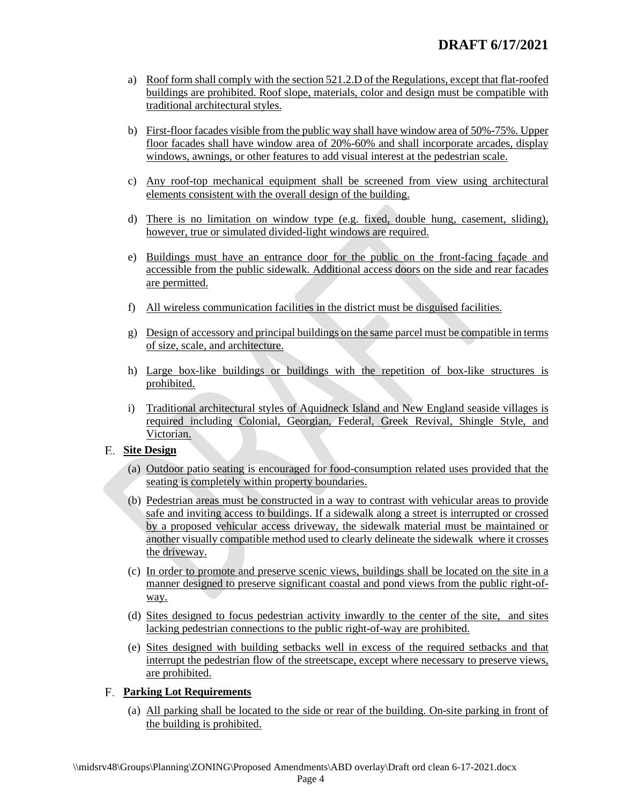- a) Roof form shall comply with the section 521.2.D of the Regulations, except that flat-roofed buildings are prohibited. Roof slope, materials, color and design must be compatible with traditional architectural styles.
- b) First-floor facades visible from the public way shall have window area of 50%-75%. Upper floor facades shall have window area of 20%-60% and shall incorporate arcades, display windows, awnings, or other features to add visual interest at the pedestrian scale.
- c) Any roof-top mechanical equipment shall be screened from view using architectural elements consistent with the overall design of the building.
- d) There is no limitation on window type (e.g. fixed, double hung, casement, sliding), however, true or simulated divided-light windows are required.
- e) Buildings must have an entrance door for the public on the front-facing façade and accessible from the public sidewalk. Additional access doors on the side and rear facades are permitted.
- f) All wireless communication facilities in the district must be disguised facilities.
- g) Design of accessory and principal buildings on the same parcel must be compatible in terms of size, scale, and architecture.
- h) Large box-like buildings or buildings with the repetition of box-like structures is prohibited.
- i) Traditional architectural styles of Aquidneck Island and New England seaside villages is required including Colonial, Georgian, Federal, Greek Revival, Shingle Style, and Victorian.

#### <span id="page-3-0"></span>**Site Design**

- (a) Outdoor patio seating is encouraged for food-consumption related uses provided that the seating is completely within property boundaries.
- (b) Pedestrian areas must be constructed in a way to contrast with vehicular areas to provide safe and inviting access to buildings. If a sidewalk along a street is interrupted or crossed by a proposed vehicular access driveway, the sidewalk material must be maintained or another visually compatible method used to clearly delineate the sidewalk where it crosses the driveway.
- (c) In order to promote and preserve scenic views, buildings shall be located on the site in a manner designed to preserve significant coastal and pond views from the public right-ofway.
- (d) Sites designed to focus pedestrian activity inwardly to the center of the site, and sites lacking pedestrian connections to the public right-of-way are prohibited.
- (e) Sites designed with building setbacks well in excess of the required setbacks and that interrupt the pedestrian flow of the streetscape, except where necessary to preserve views, are prohibited.

## <span id="page-3-1"></span>**Parking Lot Requirements**

(a) All parking shall be located to the side or rear of the building. On-site parking in front of the building is prohibited.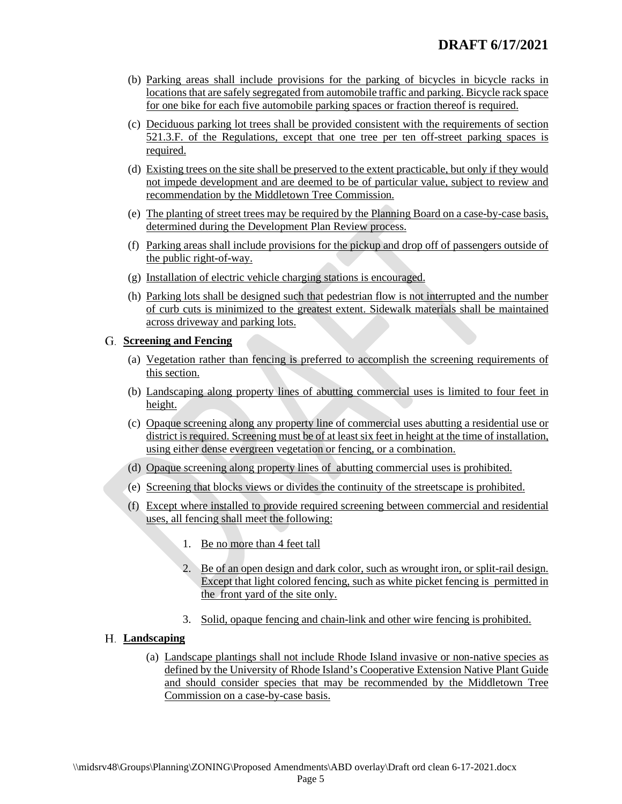- (b) Parking areas shall include provisions for the parking of bicycles in bicycle racks in locations that are safely segregated from automobile traffic and parking. Bicycle rack space for one bike for each five automobile parking spaces or fraction thereof is required.
- (c) Deciduous parking lot trees shall be provided consistent with the requirements of section 521.3.F. of the Regulations, except that one tree per ten off-street parking spaces is required.
- (d) Existing trees on the site shall be preserved to the extent practicable, but only if they would not impede development and are deemed to be of particular value, subject to review and recommendation by the Middletown Tree Commission.
- (e) The planting of street trees may be required by the Planning Board on a case-by-case basis, determined during the Development Plan Review process.
- (f) Parking areas shall include provisions for the pickup and drop off of passengers outside of the public right-of-way.
- (g) Installation of electric vehicle charging stations is encouraged.
- (h) Parking lots shall be designed such that pedestrian flow is not interrupted and the number of curb cuts is minimized to the greatest extent. Sidewalk materials shall be maintained across driveway and parking lots.

#### <span id="page-4-0"></span>**Screening and Fencing**

- (a) Vegetation rather than fencing is preferred to accomplish the screening requirements of this section.
- (b) Landscaping along property lines of abutting commercial uses is limited to four feet in height.
- (c) Opaque screening along any property line of commercial uses abutting a residential use or district is required. Screening must be of at least six feet in height at the time of installation, using either dense evergreen vegetation or fencing, or a combination.
- (d) Opaque screening along property lines of abutting commercial uses is prohibited.
- (e) Screening that blocks views or divides the continuity of the streetscape is prohibited.
- (f) Except where installed to provide required screening between commercial and residential uses, all fencing shall meet the following:
	- 1. Be no more than 4 feet tall
	- 2. Be of an open design and dark color, such as wrought iron, or split-rail design. Except that light colored fencing, such as white picket fencing is permitted in the front yard of the site only.
	- 3. Solid, opaque fencing and chain-link and other wire fencing is prohibited.

## <span id="page-4-1"></span>**Landscaping**

(a) Landscape plantings shall not include Rhode Island invasive or non-native species as defined by the University of Rhode Island's Cooperative Extension Native Plant Guide and should consider species that may be recommended by the Middletown Tree Commission on a case-by-case basis.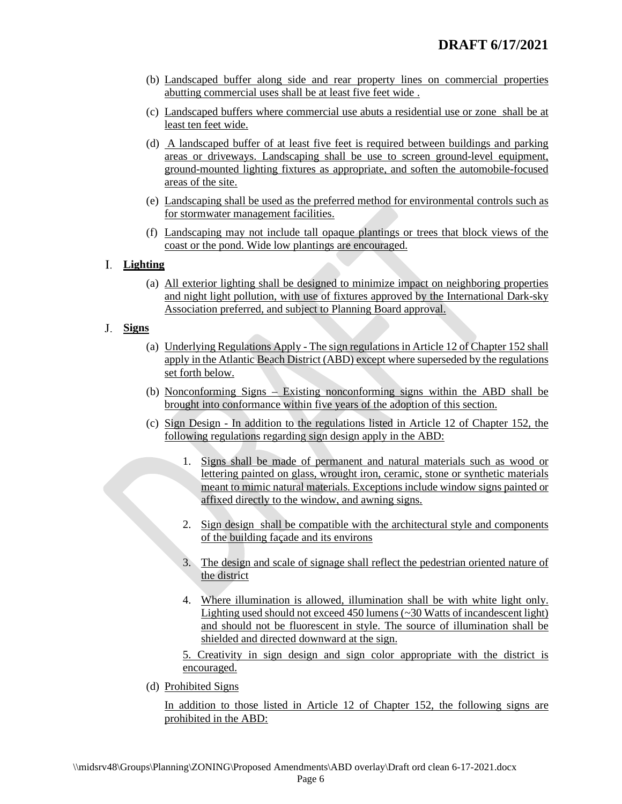- (b) Landscaped buffer along side and rear property lines on commercial properties abutting commercial uses shall be at least five feet wide .
- (c) Landscaped buffers where commercial use abuts a residential use or zone shall be at least ten feet wide.
- (d) A landscaped buffer of at least five feet is required between buildings and parking areas or driveways. Landscaping shall be use to screen ground-level equipment, ground-mounted lighting fixtures as appropriate, and soften the automobile-focused areas of the site.
- (e) Landscaping shall be used as the preferred method for environmental controls such as for stormwater management facilities.
- (f) Landscaping may not include tall opaque plantings or trees that block views of the coast or the pond. Wide low plantings are encouraged.

## <span id="page-5-0"></span>**Lighting**

(a) All exterior lighting shall be designed to minimize impact on neighboring properties and night light pollution, with use of fixtures approved by the International Dark-sky Association preferred, and subject to Planning Board approval.

## <span id="page-5-1"></span>**Signs**

- (a) Underlying Regulations Apply The sign regulations in Article 12 of Chapter 152 shall apply in the Atlantic Beach District (ABD) except where superseded by the regulations set forth below.
- (b) Nonconforming Signs Existing nonconforming signs within the ABD shall be brought into conformance within five years of the adoption of this section.
- (c) Sign Design In addition to the regulations listed in Article 12 of Chapter 152, the following regulations regarding sign design apply in the ABD:
	- 1. Signs shall be made of permanent and natural materials such as wood or lettering painted on glass, wrought iron, ceramic, stone or synthetic materials meant to mimic natural materials. Exceptions include window signs painted or affixed directly to the window, and awning signs.
	- 2. Sign design shall be compatible with the architectural style and components of the building façade and its environs
	- 3. The design and scale of signage shall reflect the pedestrian oriented nature of the district
	- 4. Where illumination is allowed, illumination shall be with white light only. Lighting used should not exceed 450 lumens (~30 Watts of incandescent light) and should not be fluorescent in style. The source of illumination shall be shielded and directed downward at the sign.

5. Creativity in sign design and sign color appropriate with the district is encouraged.

(d) Prohibited Signs

In addition to those listed in Article 12 of Chapter 152, the following signs are prohibited in the ABD: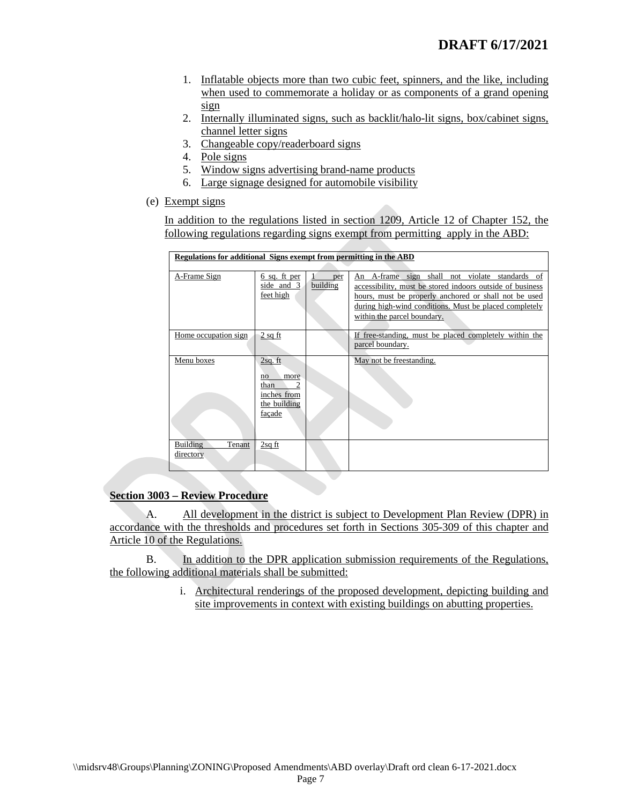- 1. Inflatable objects more than two cubic feet, spinners, and the like, including when used to commemorate a holiday or as components of a grand opening sign
- 2. Internally illuminated signs, such as backlit/halo-lit signs, box/cabinet signs, channel letter signs
- 3. Changeable copy/readerboard signs
- 4. Pole signs
- 5. Window signs advertising brand-name products
- 6. Large signage designed for automobile visibility
- (e) Exempt signs

In addition to the regulations listed in section 1209, Article 12 of Chapter 152, the following regulations regarding signs exempt from permitting apply in the ABD:

| Regulations for additional Signs exempt from permitting in the ABD |                                                                               |                 |                                                                                                                                                                                                                                                               |  |  |  |  |  |  |
|--------------------------------------------------------------------|-------------------------------------------------------------------------------|-----------------|---------------------------------------------------------------------------------------------------------------------------------------------------------------------------------------------------------------------------------------------------------------|--|--|--|--|--|--|
| A-Frame Sign                                                       | 6 sq. ft per<br>side and 3<br>feet high                                       | per<br>building | An A-frame sign shall not violate standards of<br>accessibility, must be stored indoors outside of business<br>hours, must be properly anchored or shall not be used<br>during high-wind conditions. Must be placed completely<br>within the parcel boundary. |  |  |  |  |  |  |
| Home occupation sign                                               | $2$ sq ft                                                                     |                 | If free-standing, must be placed completely within the<br>parcel boundary.                                                                                                                                                                                    |  |  |  |  |  |  |
| Menu boxes                                                         | $2sq.$ ft<br>more<br>no<br>2<br>than<br>inches from<br>the building<br>façade |                 | May not be freestanding.                                                                                                                                                                                                                                      |  |  |  |  |  |  |
| <b>Building</b><br>Tenant<br>directory                             | $2sq$ ft                                                                      |                 |                                                                                                                                                                                                                                                               |  |  |  |  |  |  |

#### <span id="page-6-0"></span>**Section 3003 – Review Procedure**

A. All development in the district is subject to Development Plan Review (DPR) in accordance with the thresholds and procedures set forth in Sections 305-309 of this chapter and Article 10 of the Regulations.

B. In addition to the DPR application submission requirements of the Regulations, the following additional materials shall be submitted:

> i. Architectural renderings of the proposed development, depicting building and site improvements in context with existing buildings on abutting properties.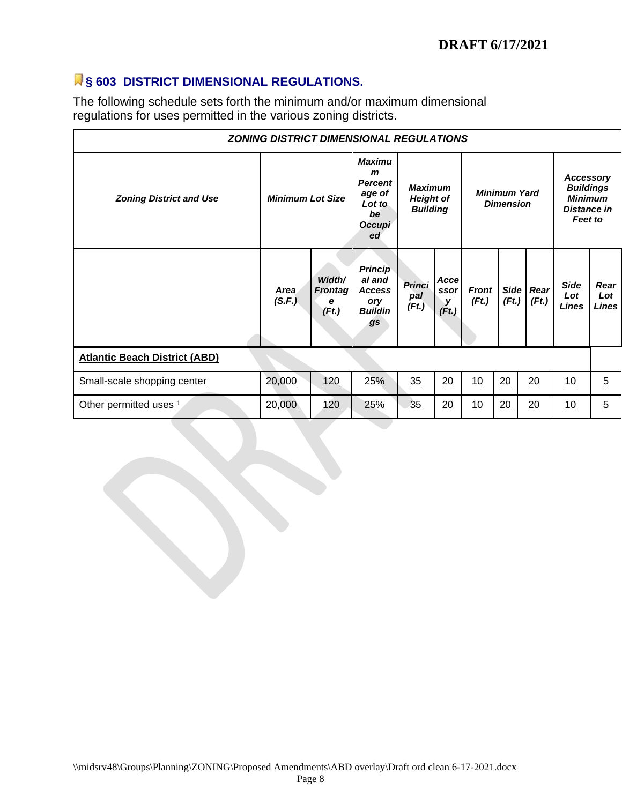# **§ 603 DISTRICT DIMENSIONAL REGULATIONS.**

The following schedule sets forth the minimum and/or maximum dimensional regulations for uses permitted in the various zoning districts.

| <b>ZONING DISTRICT DIMENSIONAL REGULATIONS</b> |                         |                                        |                                                                                           |                                                       |                             |                                         |       |                    |                                                                                  |                             |  |  |  |
|------------------------------------------------|-------------------------|----------------------------------------|-------------------------------------------------------------------------------------------|-------------------------------------------------------|-----------------------------|-----------------------------------------|-------|--------------------|----------------------------------------------------------------------------------|-----------------------------|--|--|--|
| <b>Zoning District and Use</b>                 | <b>Minimum Lot Size</b> |                                        | <b>Maximu</b><br>$\mathbf{m}$<br><b>Percent</b><br>age of<br>Lot to<br>be<br>Occupi<br>ed | <b>Maximum</b><br><b>Height of</b><br><b>Building</b> |                             | <b>Minimum Yard</b><br><b>Dimension</b> |       |                    | Accessory<br><b>Buildings</b><br><b>Minimum</b><br><b>Distance in</b><br>Feet to |                             |  |  |  |
|                                                | Area<br>(S.F.)          | Width/<br><b>Frontag</b><br>е<br>(Ft.) | <b>Princip</b><br>al and<br><b>Access</b><br>ory<br><b>Buildin</b><br>gs                  | <b>Princi</b><br>pal<br>(Ft.)                         | Accel<br>ssor<br>у<br>(Ft.) | <b>Front</b><br>(Ft.)                   | (Ft.) | Side Rear<br>(Ft.) | <b>Side</b><br>Lot<br>Lines                                                      | Rear<br>Lot<br><b>Lines</b> |  |  |  |
| <b>Atlantic Beach District (ABD)</b>           |                         |                                        |                                                                                           |                                                       |                             |                                         |       |                    |                                                                                  |                             |  |  |  |
| Small-scale shopping center                    | 20,000                  | <u>120</u>                             | 25%                                                                                       | 35                                                    | 20                          | 10                                      | 20    | 20                 | 10                                                                               | $\overline{5}$              |  |  |  |
| Other permitted uses 1                         | 20,000                  | <u>120</u>                             | 25%                                                                                       | 35                                                    | 20                          | <u>10</u>                               | 20    | 20                 | 10                                                                               | $\overline{5}$              |  |  |  |